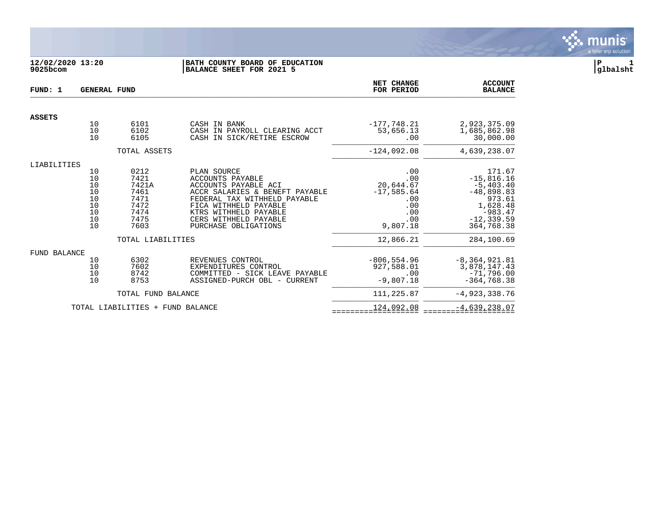

# **12/02/2020 13:20 |BATH COUNTY BOARD OF EDUCATION |P 1 9025bcom |BALANCE SHEET FOR 2021 5 |glbalsht**

| FUND: 1             | <b>GENERAL FUND</b>                                                               |                                                                                            |                                                                                                                                                                                                                                     | NET CHANGE<br>FOR PERIOD                                                                     | <b>ACCOUNT</b><br><b>BALANCE</b>                                                                                                      |
|---------------------|-----------------------------------------------------------------------------------|--------------------------------------------------------------------------------------------|-------------------------------------------------------------------------------------------------------------------------------------------------------------------------------------------------------------------------------------|----------------------------------------------------------------------------------------------|---------------------------------------------------------------------------------------------------------------------------------------|
| <b>ASSETS</b>       |                                                                                   |                                                                                            |                                                                                                                                                                                                                                     |                                                                                              |                                                                                                                                       |
|                     | 10<br>10<br>10                                                                    | 6101<br>6102<br>6105                                                                       | CASH IN BANK<br>CASH IN PAYROLL CLEARING ACCT<br>CASH IN SICK/RETIRE ESCROW                                                                                                                                                         | $-177,748.21$<br>53,656.13<br>.00                                                            | 2,923,375.09<br>1,685,862.98<br>30,000.00                                                                                             |
|                     |                                                                                   | TOTAL ASSETS                                                                               |                                                                                                                                                                                                                                     | $-124,092.08$                                                                                | 4,639,238.07                                                                                                                          |
| LIABILITIES         |                                                                                   |                                                                                            |                                                                                                                                                                                                                                     |                                                                                              |                                                                                                                                       |
|                     | 10<br>$\begin{array}{c} 10 \\ 10 \end{array}$<br>10<br>10<br>10<br>10<br>10<br>10 | 0212<br>7421<br>7421A<br>7461<br>7471<br>7472<br>7474<br>7475<br>7603<br>TOTAL LIABILITIES | PLAN SOURCE<br><b>ACCOUNTS PAYABLE</b><br>ACCOUNTS PAYABLE ACI<br>ACCR SALARIES & BENEFT PAYABLE<br>FEDERAL TAX WITHHELD PAYABLE<br>FICA WITHHELD PAYABLE<br>KTRS WITHHELD PAYABLE<br>CERS WITHHELD PAYABLE<br>PURCHASE OBLIGATIONS | .00<br>.00<br>20,644.67<br>$-17,585.64$<br>.00<br>.00<br>.00<br>.00<br>9,807.18<br>12,866.21 | 171.67<br>$-15,816.16$<br>$-5,403.40$<br>$-48,898.83$<br>973.61<br>1,628.48<br>$-983.47$<br>$-12, 339.59$<br>364,768.38<br>284,100.69 |
|                     |                                                                                   |                                                                                            |                                                                                                                                                                                                                                     |                                                                                              |                                                                                                                                       |
| <b>FUND BALANCE</b> | 10<br>10<br>10<br>10                                                              | 6302<br>7602<br>8742<br>8753                                                               | REVENUES CONTROL<br>EXPENDITURES CONTROL<br>COMMITTED - SICK LEAVE PAYABLE<br>ASSIGNED-PURCH OBL - CURRENT                                                                                                                          | $-806, 554.96$<br>927,588.01<br>.00<br>$-9,807.18$                                           | $-8, 364, 921.81$<br>3,878,147.43<br>$-71,796.00$<br>$-364,768.38$                                                                    |
|                     |                                                                                   | TOTAL FUND BALANCE                                                                         |                                                                                                                                                                                                                                     | 111,225.87                                                                                   | $-4,923,338.76$                                                                                                                       |
|                     |                                                                                   | TOTAL LIABILITIES + FUND BALANCE                                                           |                                                                                                                                                                                                                                     | 124,092.08                                                                                   | $-4,639,238.07$                                                                                                                       |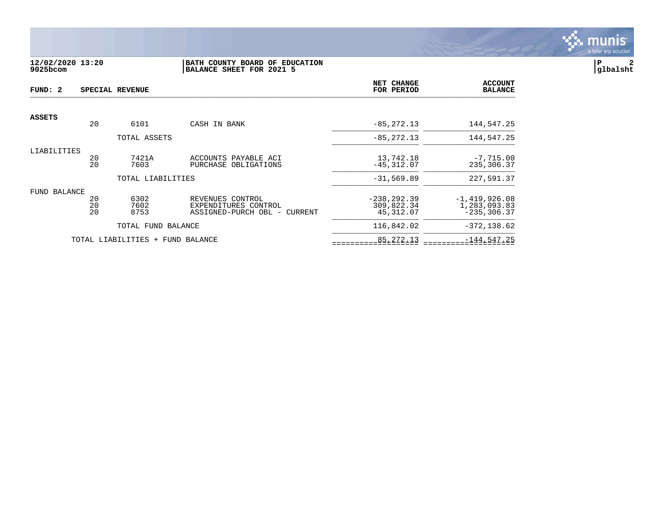

# **12/02/2020 13:20 |BATH COUNTY BOARD OF EDUCATION |P 2 9025bcom |BALANCE SHEET FOR 2021 5 |glbalsht**

| FUND: 2       |                | SPECIAL REVENUE                  |                                                                          | NET CHANGE<br>FOR PERIOD                  | <b>ACCOUNT</b><br><b>BALANCE</b>                  |
|---------------|----------------|----------------------------------|--------------------------------------------------------------------------|-------------------------------------------|---------------------------------------------------|
| <b>ASSETS</b> |                |                                  |                                                                          |                                           |                                                   |
|               | 20             | 6101                             | CASH IN BANK                                                             | $-85, 272.13$                             | 144,547.25                                        |
|               |                | TOTAL ASSETS                     |                                                                          | $-85, 272.13$                             | 144,547.25                                        |
| LIABILITIES   | 20<br>20       | 7421A<br>7603                    | ACCOUNTS PAYABLE ACI<br>PURCHASE OBLIGATIONS                             | 13,742.18<br>$-45, 312.07$                | $-7,715.00$<br>235,306.37                         |
|               |                | TOTAL LIABILITIES                |                                                                          | $-31, 569.89$                             | 227,591.37                                        |
| FUND BALANCE  | 20<br>20<br>20 | 6302<br>7602<br>8753             | REVENUES CONTROL<br>EXPENDITURES CONTROL<br>ASSIGNED-PURCH OBL - CURRENT | $-238, 292.39$<br>309,822.34<br>45,312.07 | $-1,419,926.08$<br>1,283,093.83<br>$-235, 306.37$ |
|               |                | TOTAL FUND BALANCE               |                                                                          | 116,842.02                                | $-372, 138.62$                                    |
|               |                | TOTAL LIABILITIES + FUND BALANCE |                                                                          | 85, 272. 13                               | $-144,547.25$                                     |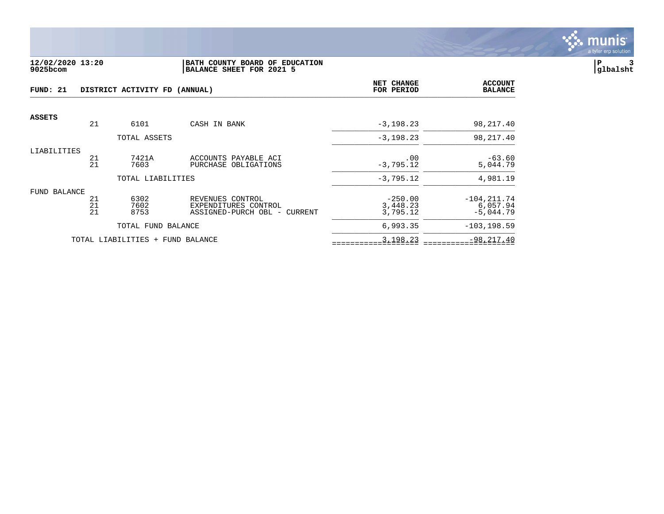

## **12/02/2020 13:20 |BATH COUNTY BOARD OF EDUCATION |P 3 9025bcom |BALANCE SHEET FOR 2021 5 |glbalsht**

| FUND: 21      |          | DISTRICT ACTIVITY FD (ANNUAL)    | NET CHANGE<br>FOR PERIOD                 | <b>ACCOUNT</b><br><b>BALANCE</b> |                            |
|---------------|----------|----------------------------------|------------------------------------------|----------------------------------|----------------------------|
| <b>ASSETS</b> |          |                                  |                                          |                                  |                            |
|               | 21       | 6101                             | CASH IN BANK                             | $-3, 198.23$                     | 98,217.40                  |
|               |          | TOTAL ASSETS                     |                                          | $-3, 198.23$                     | 98,217.40                  |
| LIABILITIES   | 21       | 7421A                            | ACCOUNTS PAYABLE ACI                     |                                  | $-63.60$                   |
|               | 21       | 7603                             | PURCHASE OBLIGATIONS                     | .00<br>$-3,795.12$               | 5,044.79                   |
|               |          | TOTAL LIABILITIES                |                                          | $-3,795.12$                      | 4,981.19                   |
| FUND BALANCE  |          |                                  |                                          |                                  |                            |
|               | 21<br>21 | 6302<br>7602                     | REVENUES CONTROL<br>EXPENDITURES CONTROL | $-250.00$<br>3,448.23            | $-104, 211.74$<br>6,057.94 |
|               | 21       | 8753                             | ASSIGNED-PURCH OBL - CURRENT             | 3,795.12                         | $-5,044.79$                |
|               |          | TOTAL FUND BALANCE               |                                          | 6,993.35                         | $-103, 198.59$             |
|               |          | TOTAL LIABILITIES + FUND BALANCE |                                          | 3,198.23                         | $-98, 217.40$              |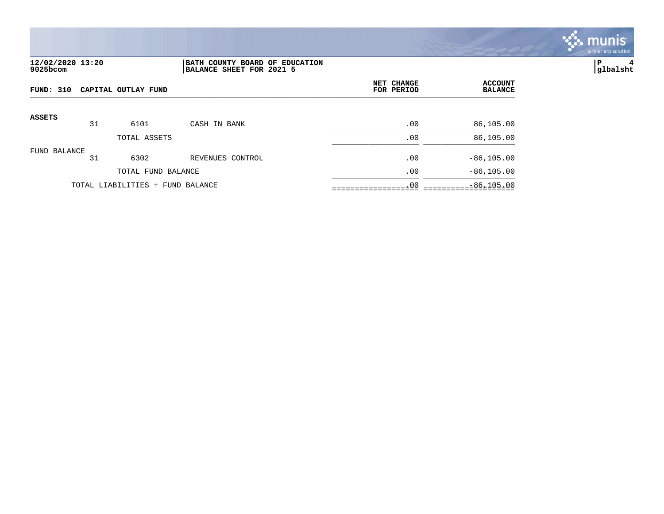

# **12/02/2020 13:20 |BATH COUNTY BOARD OF EDUCATION |P 4 9025bcom |BALANCE SHEET FOR 2021 5 |glbalsht**

| FUND: 310     | NET CHANGE<br>CAPITAL OUTLAY FUND<br>FOR PERIOD |                                  |                  | <b>ACCOUNT</b><br><b>BALANCE</b> |               |
|---------------|-------------------------------------------------|----------------------------------|------------------|----------------------------------|---------------|
| <b>ASSETS</b> | 31                                              | 6101                             | CASH IN BANK     | .00                              | 86,105.00     |
|               |                                                 | TOTAL ASSETS                     |                  | .00                              | 86,105.00     |
| FUND BALANCE  | 31                                              | 6302                             | REVENUES CONTROL | .00                              | $-86, 105.00$ |
|               |                                                 | TOTAL FUND BALANCE               |                  | .00                              | $-86, 105.00$ |
|               |                                                 | TOTAL LIABILITIES + FUND BALANCE |                  | .00                              | $-86, 105.00$ |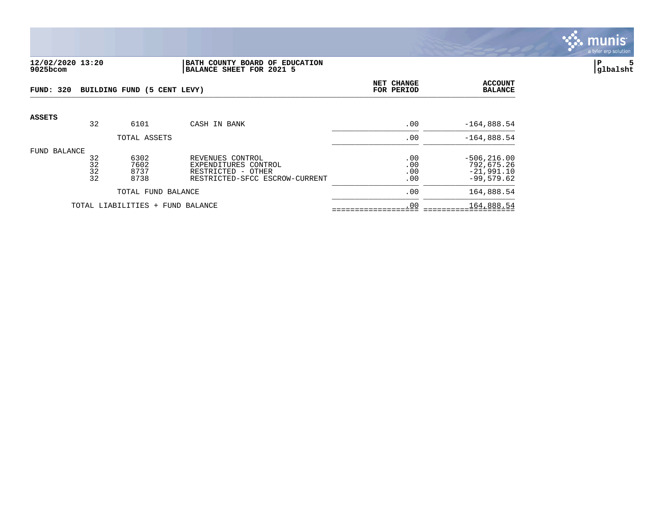

### **12/02/2020 13:20 |BATH COUNTY BOARD OF EDUCATION |P 5 9025bcom |BALANCE SHEET FOR 2021 5 |glbalsht**

| <b>FUND: 320</b> |                      | BUILDING FUND (5 CENT LEVY)  |                                                                                                  | <b>NET CHANGE</b><br>FOR PERIOD | <b>ACCOUNT</b><br><b>BALANCE</b>                             |
|------------------|----------------------|------------------------------|--------------------------------------------------------------------------------------------------|---------------------------------|--------------------------------------------------------------|
| <b>ASSETS</b>    | 32                   | 6101                         | CASH IN BANK                                                                                     | .00                             | $-164,888.54$                                                |
|                  |                      | TOTAL ASSETS                 |                                                                                                  | .00                             | $-164,888.54$                                                |
| FUND BALANCE     | 32<br>32<br>32<br>32 | 6302<br>7602<br>8737<br>8738 | REVENUES CONTROL<br>EXPENDITURES CONTROL<br>RESTRICTED - OTHER<br>RESTRICTED-SFCC ESCROW-CURRENT | .00<br>.00<br>.00<br>.00        | $-506, 216.00$<br>792,675.26<br>$-21,991.10$<br>$-99,579.62$ |
|                  |                      | TOTAL FUND BALANCE           |                                                                                                  | .00                             | 164,888.54                                                   |
|                  |                      | TOTAL LIABILITIES +          | FUND BALANCE                                                                                     | .00                             | 164,888.54                                                   |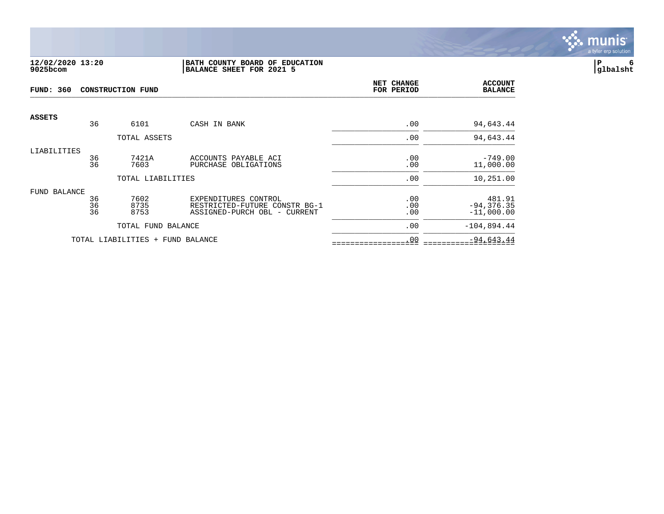

#### **12/02/2020 13:20 |BATH COUNTY BOARD OF EDUCATION |P 6 9025bcom |BALANCE SHEET FOR 2021 5 |glbalsht**

| <b>FUND: 360</b><br><b>CONSTRUCTION FUND</b> |          |                                  | NET CHANGE<br>FOR PERIOD                                      | <b>ACCOUNT</b><br><b>BALANCE</b> |                               |
|----------------------------------------------|----------|----------------------------------|---------------------------------------------------------------|----------------------------------|-------------------------------|
| <b>ASSETS</b>                                | 36       | 6101                             | CASH IN BANK                                                  | .00                              | 94,643.44                     |
|                                              |          |                                  |                                                               |                                  |                               |
|                                              |          | TOTAL ASSETS                     |                                                               | .00                              | 94,643.44                     |
| LIABILITIES                                  |          |                                  |                                                               |                                  |                               |
|                                              | 36<br>36 | 7421A<br>7603                    | ACCOUNTS PAYABLE ACI<br>PURCHASE OBLIGATIONS                  | .00<br>.00                       | $-749.00$<br>11,000.00        |
|                                              |          |                                  |                                                               |                                  |                               |
|                                              |          | TOTAL LIABILITIES                |                                                               | .00                              | 10,251.00                     |
| FUND BALANCE                                 |          |                                  |                                                               |                                  |                               |
|                                              | 36       | 7602                             | EXPENDITURES CONTROL                                          | .00                              | 481.91                        |
|                                              | 36<br>36 | 8735<br>8753                     | RESTRICTED-FUTURE CONSTR BG-1<br>ASSIGNED-PURCH OBL - CURRENT | .00<br>.00                       | $-94, 376.35$<br>$-11,000.00$ |
|                                              |          |                                  |                                                               |                                  |                               |
|                                              |          | TOTAL FUND BALANCE               |                                                               | .00                              | $-104,894.44$                 |
|                                              |          | TOTAL LIABILITIES + FUND BALANCE |                                                               | .00                              | $-94,643.44$                  |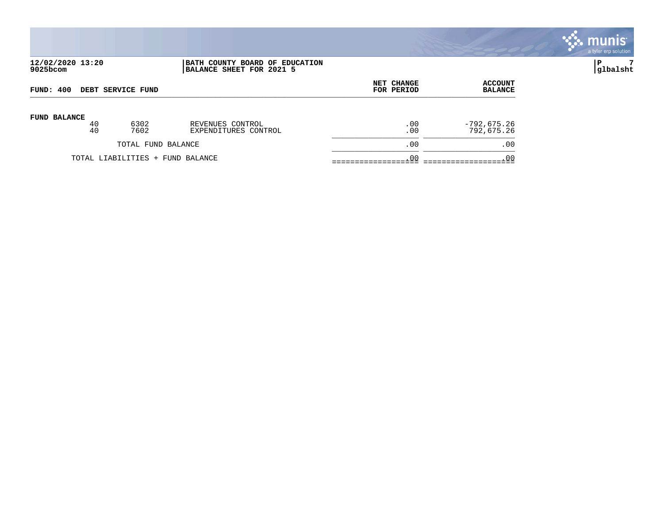|                              |          |                                  |                                                            |                          |                                  | a tyler erp solution |
|------------------------------|----------|----------------------------------|------------------------------------------------------------|--------------------------|----------------------------------|----------------------|
| 12/02/2020 13:20<br>9025bcom |          |                                  | BATH COUNTY BOARD OF EDUCATION<br>BALANCE SHEET FOR 2021 5 |                          |                                  | P<br>7<br> glbalsht  |
| FUND: 400                    |          | DEBT SERVICE FUND                |                                                            | NET CHANGE<br>FOR PERIOD | <b>ACCOUNT</b><br><b>BALANCE</b> |                      |
| <b>FUND BALANCE</b>          | 40<br>40 | 6302<br>7602                     | REVENUES CONTROL<br>EXPENDITURES CONTROL                   | .00<br>.00               | -792,675.26<br>792,675.26        |                      |
|                              |          | TOTAL FUND BALANCE               |                                                            | .00                      | .00                              |                      |
|                              |          | TOTAL LIABILITIES + FUND BALANCE |                                                            | .00                      | .00                              |                      |

se munis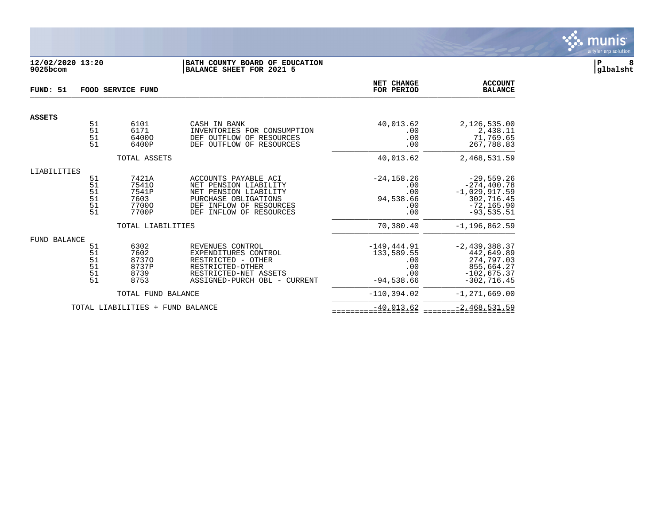

# **12/02/2020 13:20 |BATH COUNTY BOARD OF EDUCATION |P 8 9025bcom |BALANCE SHEET FOR 2021 5 |glbalsht**

| FUND: 51      |                                         | <b>FOOD SERVICE FUND</b>                          |                                                                                                                                                                   | NET CHANGE<br>FOR PERIOD                                          | <b>ACCOUNT</b><br><b>BALANCE</b>                                                                 |
|---------------|-----------------------------------------|---------------------------------------------------|-------------------------------------------------------------------------------------------------------------------------------------------------------------------|-------------------------------------------------------------------|--------------------------------------------------------------------------------------------------|
| <b>ASSETS</b> |                                         |                                                   |                                                                                                                                                                   |                                                                   |                                                                                                  |
|               | 51<br>51<br>51<br>51                    | 6101<br>6171<br>64000<br>6400P                    | CASH IN BANK<br>INVENTORIES FOR CONSUMPTION<br>DEF OUTFLOW OF<br>RESOURCES<br>DEF OUTFLOW OF RESOURCES                                                            | 40,013.62<br>.00<br>.00<br>.00                                    | 2,126,535.00<br>2,438.11<br>71,769.65<br>267,788.83                                              |
|               |                                         | TOTAL ASSETS                                      |                                                                                                                                                                   | 40,013.62                                                         | 2,468,531.59                                                                                     |
| LIABILITIES   |                                         |                                                   |                                                                                                                                                                   |                                                                   |                                                                                                  |
|               | 51<br>51<br>51<br>51<br>51<br>51        | 7421A<br>75410<br>7541P<br>7603<br>77000<br>7700P | ACCOUNTS PAYABLE ACI<br>NET PENSION LIABILITY<br>NET PENSION LIABILITY<br>PURCHASE OBLIGATIONS<br>INFLOW OF RESOURCES<br>DEF<br><b>DEF</b><br>INFLOW OF RESOURCES | $-24, 158.26$<br>.00<br>.00<br>94,538.66<br>.00<br>.00            | $-29,559.26$<br>$-274, 400.78$<br>$-1,029,917.59$<br>302,716.45<br>$-72, 165.90$<br>$-93,535.51$ |
|               |                                         | TOTAL LIABILITIES                                 |                                                                                                                                                                   | 70,380.40                                                         | $-1, 196, 862.59$                                                                                |
| FUND BALANCE  | 51<br>51<br>$\frac{51}{51}$<br>51<br>51 | 6302<br>7602<br>87370<br>8737P<br>8739<br>8753    | REVENUES CONTROL<br>EXPENDITURES CONTROL<br>RESTRICTED - OTHER<br>RESTRICTED-OTHER<br>RESTRICTED-NET ASSETS<br>ASSIGNED-PURCH OBL - CURRENT                       | $-149, 444.91$<br>133,589.55<br>.00<br>.00<br>.00<br>$-94,538.66$ | $-2,439,388.37$<br>442,649.89<br>274,797.03<br>855,664.27<br>$-102,675.37$<br>$-302, 716.45$     |
|               |                                         | TOTAL FUND BALANCE                                |                                                                                                                                                                   | $-110, 394.02$                                                    | $-1, 271, 669.00$                                                                                |
|               |                                         | TOTAL LIABILITIES + FUND BALANCE                  |                                                                                                                                                                   | $-40,013.62$                                                      | $-2,468,531.59$                                                                                  |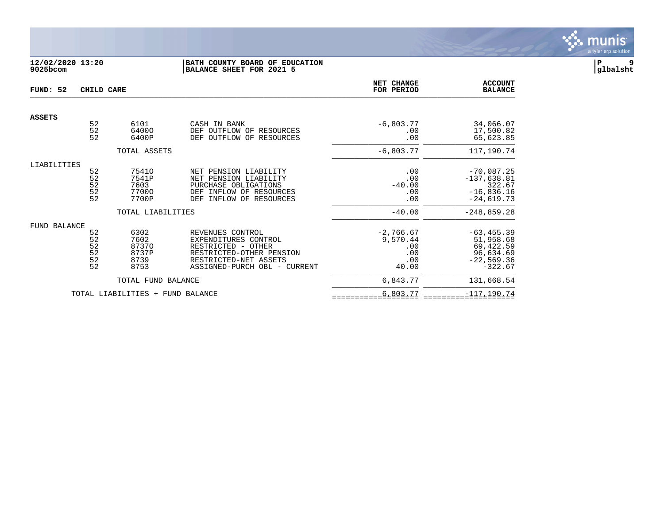

# **12/02/2020 13:20 |BATH COUNTY BOARD OF EDUCATION |P 9 9025bcom |BALANCE SHEET FOR 2021 5 |glbalsht**

| FUND: 52      | CHILD CARE                                    |                                                               |                                                                                                                                                     | NET CHANGE<br>FOR PERIOD                              | <b>ACCOUNT</b><br><b>BALANCE</b>                                                         |
|---------------|-----------------------------------------------|---------------------------------------------------------------|-----------------------------------------------------------------------------------------------------------------------------------------------------|-------------------------------------------------------|------------------------------------------------------------------------------------------|
| <b>ASSETS</b> |                                               |                                                               |                                                                                                                                                     |                                                       |                                                                                          |
|               | $\begin{array}{c} 52 \\ 52 \end{array}$<br>52 | 6101<br>64000<br>6400P                                        | CASH IN BANK<br>DEF OUTFLOW OF RESOURCES<br>OUTFLOW OF RESOURCES<br><b>DEF</b>                                                                      | $-6,803.77$<br>.00<br>.00                             | 34,066.07<br>17,500.82<br>65,623.85                                                      |
|               |                                               | TOTAL ASSETS                                                  |                                                                                                                                                     | $-6,803.77$                                           | 117,190.74                                                                               |
| LIABILITIES   | 52<br>$\frac{52}{52}$<br>$\frac{52}{52}$      | 75410<br>7541P<br>7603<br>77000<br>7700P<br>TOTAL LIABILITIES | NET PENSION LIABILITY<br>NET PENSION LIABILITY<br>PURCHASE OBLIGATIONS<br>INFLOW OF RESOURCES<br>DEF<br>INFLOW OF RESOURCES<br>DEF                  | .00<br>.00<br>$-40.00$<br>.00<br>.00<br>$-40.00$      | $-70,087.25$<br>$-137,638.81$<br>322.67<br>$-16,836.16$<br>$-24,619.73$<br>$-248,859.28$ |
| FUND BALANCE  | 52<br>52<br>52<br>52<br>$\frac{5}{2}$         | 6302<br>7602<br>87370<br>8737P<br>8739<br>8753                | REVENUES CONTROL<br>EXPENDITURES CONTROL<br>RESTRICTED - OTHER<br>RESTRICTED-OTHER PENSION<br>RESTRICTED-NET ASSETS<br>ASSIGNED-PURCH OBL - CURRENT | $-2,766.67$<br>9,570.44<br>.00<br>.00<br>.00<br>40.00 | $-63, 455.39$<br>51,958.68<br>69,422.59<br>96,634.69<br>$-22,569.36$<br>$-322.67$        |
|               |                                               | TOTAL FUND BALANCE                                            |                                                                                                                                                     | 6,843.77                                              | 131,668.54                                                                               |
|               |                                               | TOTAL LIABILITIES +                                           | FUND BALANCE                                                                                                                                        | 6,803.77                                              | $-117, 190.74$                                                                           |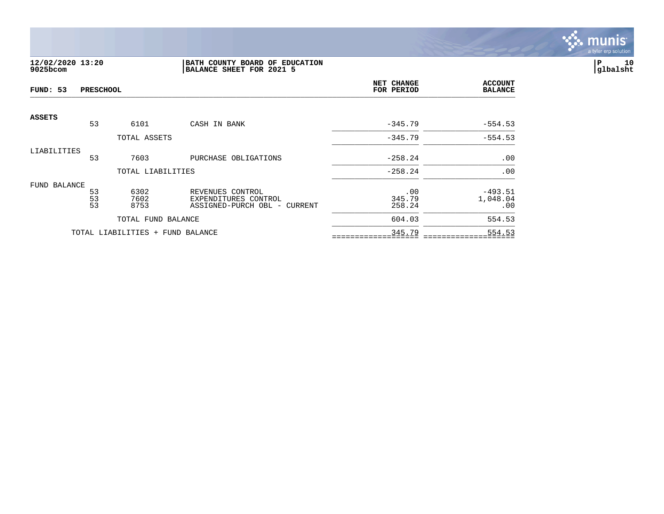

# **12/02/2020 13:20 |BATH COUNTY BOARD OF EDUCATION |P 10 9025bcom |BALANCE SHEET FOR 2021 5 |glbalsht**

| FUND: 53      | <b>PRESCHOOL</b>                              |                                  |                                          | NET CHANGE<br>FOR PERIOD | <b>ACCOUNT</b><br><b>BALANCE</b> |
|---------------|-----------------------------------------------|----------------------------------|------------------------------------------|--------------------------|----------------------------------|
| <b>ASSETS</b> | 53                                            | 6101                             | CASH IN BANK                             | $-345.79$                | $-554.53$                        |
|               |                                               | TOTAL ASSETS                     |                                          | $-345.79$                | $-554.53$                        |
| LIABILITIES   |                                               |                                  |                                          |                          |                                  |
|               | 53                                            | 7603                             | PURCHASE OBLIGATIONS                     | $-258.24$                | .00                              |
|               |                                               | TOTAL LIABILITIES                |                                          | $-258.24$                | .00                              |
| FUND BALANCE  |                                               |                                  |                                          |                          |                                  |
|               | $\begin{array}{c} 53 \\ 53 \end{array}$<br>53 | 6302<br>7602                     | REVENUES CONTROL<br>EXPENDITURES CONTROL | .00<br>345.79            | $-493.51$<br>1,048.04            |
|               |                                               | 8753                             | ASSIGNED-PURCH OBL - CURRENT             | 258.24                   | .00                              |
|               |                                               | TOTAL FUND BALANCE               |                                          | 604.03                   | 554.53                           |
|               |                                               | TOTAL LIABILITIES + FUND BALANCE |                                          | 345.79                   | 554.53                           |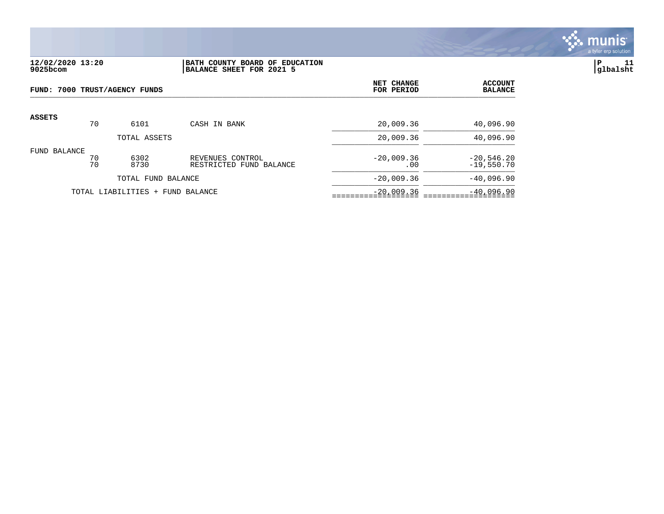

# **12/02/2020 13:20 |BATH COUNTY BOARD OF EDUCATION |P 11 9025bcom |BALANCE SHEET FOR 2021 5 |glbalsht**

|               | FUND: 7000 TRUST/AGENCY FUNDS |                                  |                                             | NET CHANGE<br>FOR PERIOD | <b>ACCOUNT</b><br><b>BALANCE</b> |
|---------------|-------------------------------|----------------------------------|---------------------------------------------|--------------------------|----------------------------------|
| <b>ASSETS</b> | 70                            | 6101                             | CASH IN BANK                                | 20,009.36                | 40,096.90                        |
|               |                               | TOTAL ASSETS                     |                                             | 20,009.36                | 40,096.90                        |
| FUND BALANCE  | 70<br>70                      | 6302<br>8730                     | REVENUES CONTROL<br>RESTRICTED FUND BALANCE | $-20,009.36$<br>.00      | $-20,546.20$<br>$-19,550.70$     |
|               |                               | TOTAL FUND BALANCE               |                                             | $-20,009.36$             | $-40,096.90$                     |
|               |                               | TOTAL LIABILITIES + FUND BALANCE |                                             | $-20,009.36$             | $-40,096.90$                     |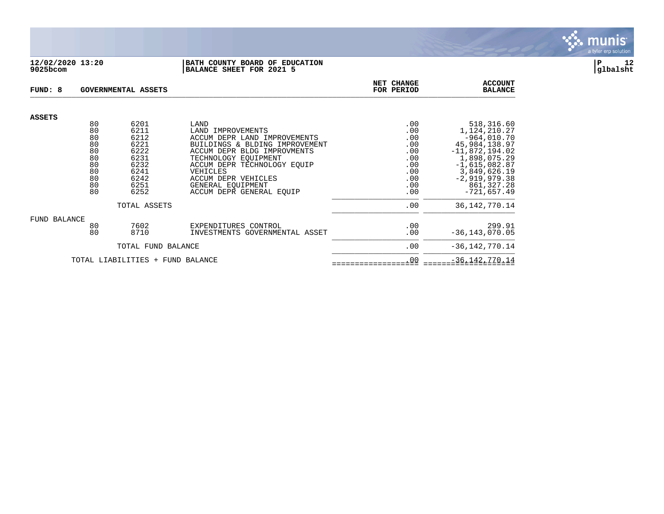#### **12/02/2020 13:20 |BATH COUNTY BOARD OF EDUCATION |P 12 9025bcom |BALANCE SHEET FOR 2021 5 |glbalsht**

| FUND: 8                          |          | GOVERNMENTAL ASSETS |                                                               | <b>NET CHANGE</b><br>FOR PERIOD | <b>ACCOUNT</b><br><b>BALANCE</b>  |
|----------------------------------|----------|---------------------|---------------------------------------------------------------|---------------------------------|-----------------------------------|
| ASSETS                           |          |                     |                                                               |                                 |                                   |
|                                  | 80       | 6201                | LAND                                                          | .00                             | 518,316.60                        |
|                                  | 80       | 6211                | LAND IMPROVEMENTS                                             | .00                             | 1,124,210.27                      |
|                                  | 80       | 6212                | ACCUM DEPR LAND IMPROVEMENTS                                  | .00                             | $-964,010.70$                     |
|                                  | 80<br>80 | 6221<br>6222        | BUILDINGS & BLDING IMPROVEMENT<br>ACCUM DEPR BLDG IMPROVMENTS | .00<br>.00                      | 45,984,138.97<br>$-11,872,194.02$ |
|                                  | 80       | 6231                | TECHNOLOGY EQUIPMENT                                          | .00                             | 1,898,075.29                      |
|                                  | 80       | 6232                | ACCUM DEPR TECHNOLOGY EOUIP                                   | .00                             | $-1,615,082.87$                   |
|                                  | 80       | 6241                | VEHICLES                                                      | .00                             | 3,849,626.19                      |
|                                  | 80       | 6242                | ACCUM DEPR VEHICLES                                           | .00                             | $-2,919,979.38$                   |
|                                  | 80       | 6251                | GENERAL EOUIPMENT                                             | .00                             | 861, 327. 28                      |
|                                  | 80       | 6252                | ACCUM DEPR GENERAL EOUIP                                      | .00                             | $-721,657.49$                     |
|                                  |          | TOTAL ASSETS        |                                                               | .00                             | 36, 142, 770. 14                  |
| FUND BALANCE                     |          |                     |                                                               |                                 |                                   |
|                                  | 80       | 7602                | EXPENDITURES CONTROL                                          | .00                             | 299.91                            |
|                                  | 80       | 8710                | INVESTMENTS GOVERNMENTAL ASSET                                | .00                             | $-36, 143, 070.05$                |
|                                  |          | TOTAL FUND BALANCE  |                                                               | .00                             | $-36, 142, 770.14$                |
| TOTAL LIABILITIES + FUND BALANCE |          |                     |                                                               | .00                             | $-36, 142, 770.14$                |

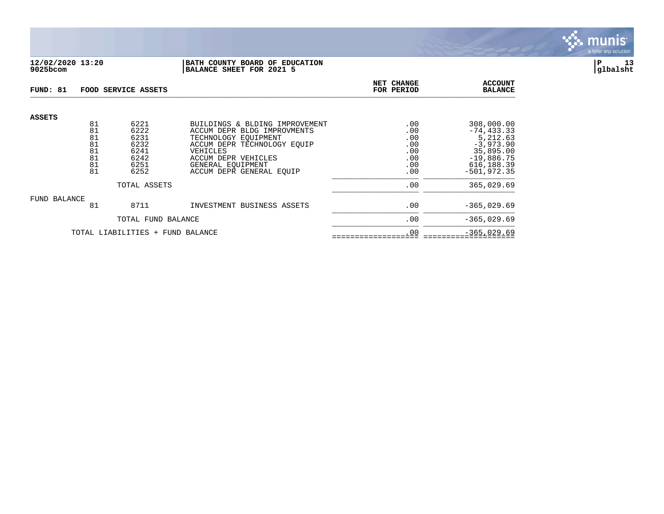

# **12/02/2020 13:20 |BATH COUNTY BOARD OF EDUCATION |P 13 9025bcom |BALANCE SHEET FOR 2021 5 |glbalsht**

| FUND: 81      |                                        | FOOD SERVICE ASSETS                                  | NET CHANGE<br>FOR PERIOD                                                                                                                                                     | <b>ACCOUNT</b><br><b>BALANCE</b>              |                                                                                                   |
|---------------|----------------------------------------|------------------------------------------------------|------------------------------------------------------------------------------------------------------------------------------------------------------------------------------|-----------------------------------------------|---------------------------------------------------------------------------------------------------|
| <b>ASSETS</b> | 81<br>81<br>81<br>81<br>81<br>81<br>81 | 6221<br>6222<br>6231<br>6232<br>6241<br>6242<br>6251 | BUILDINGS & BLDING IMPROVEMENT<br>ACCUM DEPR BLDG IMPROVMENTS<br>TECHNOLOGY EOUIPMENT<br>ACCUM DEPR TECHNOLOGY EOUIP<br>VEHICLES<br>ACCUM DEPR VEHICLES<br>GENERAL EOUIPMENT | .00<br>.00<br>.00<br>.00<br>.00<br>.00<br>.00 | 308,000.00<br>$-74, 433.33$<br>5,212.63<br>$-3,973.90$<br>35,895.00<br>$-19,886.75$<br>616,188.39 |
|               | 81                                     | 6252                                                 | ACCUM DEPR GENERAL EOUIP                                                                                                                                                     | .00                                           | $-501.972.35$                                                                                     |
|               |                                        | TOTAL ASSETS                                         | .00                                                                                                                                                                          | 365,029.69                                    |                                                                                                   |
| FUND BALANCE  | 81                                     | 8711                                                 | INVESTMENT BUSINESS ASSETS                                                                                                                                                   | .00                                           | $-365,029.69$                                                                                     |
|               |                                        | TOTAL FUND BALANCE                                   |                                                                                                                                                                              | .00                                           | $-365.029.69$                                                                                     |
|               |                                        | TOTAL LIABILITIES + FUND BALANCE                     | .00                                                                                                                                                                          | $-365,029.69$                                 |                                                                                                   |